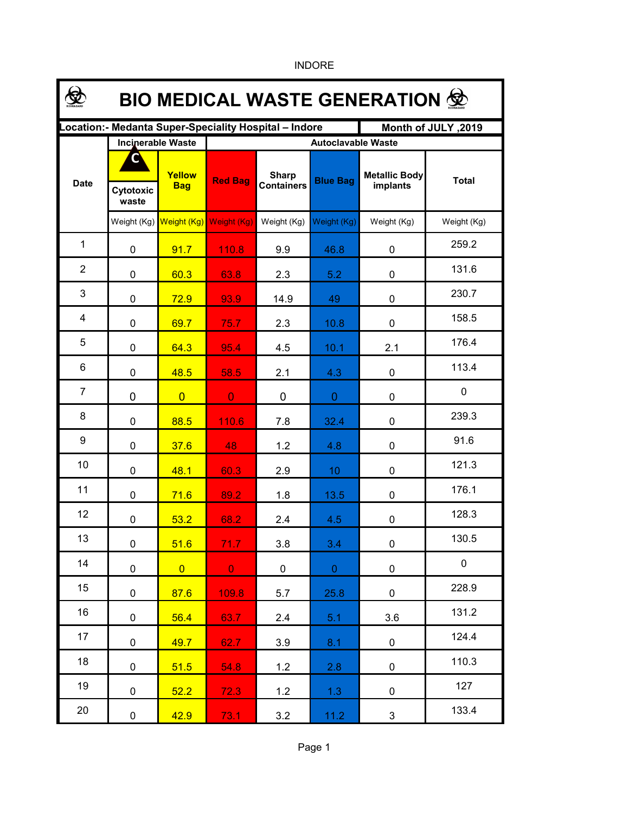| <b>BIO MEDICAL WASTE GENERATION 佥</b> |                    |                          |                                                       |                                   |                 |                                  |              |  |  |  |  |
|---------------------------------------|--------------------|--------------------------|-------------------------------------------------------|-----------------------------------|-----------------|----------------------------------|--------------|--|--|--|--|
|                                       |                    |                          | Location:- Medanta Super-Speciality Hospital - Indore |                                   |                 | Month of JULY, 2019              |              |  |  |  |  |
|                                       |                    | <b>Incinerable Waste</b> |                                                       | <b>Autoclavable Waste</b>         |                 |                                  |              |  |  |  |  |
| <b>Date</b>                           | Cytotoxic<br>waste | Yellow<br><b>Bag</b>     | <b>Red Bag</b>                                        | <b>Sharp</b><br><b>Containers</b> | <b>Blue Bag</b> | <b>Metallic Body</b><br>implants | <b>Total</b> |  |  |  |  |
|                                       |                    | Weight (Kg) Weight (Kg)  | Weight (Kg)                                           | Weight (Kg)                       | Weight (Kg)     | Weight (Kg)                      | Weight (Kg)  |  |  |  |  |
| 1                                     | $\mathbf 0$        | 91.7                     | 110.8                                                 | 9.9                               | 46.8            | 0                                | 259.2        |  |  |  |  |
| $\overline{2}$                        | $\mathbf 0$        | 60.3                     | 63.8                                                  | 2.3                               | 5.2             | 0                                | 131.6        |  |  |  |  |
| 3                                     | 0                  | 72.9                     | 93.9                                                  | 14.9                              | 49              | 0                                | 230.7        |  |  |  |  |
| 4                                     | 0                  | 69.7                     | 75.7                                                  | 2.3                               | 10.8            | 0                                | 158.5        |  |  |  |  |
| 5                                     | 0                  | 64.3                     | 95.4                                                  | 4.5                               | 10.1            | 2.1                              | 176.4        |  |  |  |  |
| 6                                     | 0                  | 48.5                     | 58.5                                                  | 2.1                               | 4.3             | $\mathbf 0$                      | 113.4        |  |  |  |  |
| $\overline{7}$                        | 0                  | $\overline{0}$           | $\overline{0}$                                        | 0                                 | $\overline{0}$  | 0                                | 0            |  |  |  |  |
| 8                                     | 0                  | 88.5                     | 110.6                                                 | 7.8                               | 32.4            | 0                                | 239.3        |  |  |  |  |
| 9                                     | 0                  | 37.6                     | 48                                                    | 1.2                               | 4.8             | 0                                | 91.6         |  |  |  |  |
| 10                                    | 0                  | 48.1                     | 60.3                                                  | 2.9                               | 10              | 0                                | 121.3        |  |  |  |  |
| 11                                    | 0                  | 71.6                     | 89.2                                                  | 1.8                               | 13.5            | 0                                | 176.1        |  |  |  |  |
| 12                                    | 0                  | 53.2                     | 68.2                                                  | 2.4                               | 4.5             | 0                                | 128.3        |  |  |  |  |
| 13                                    | $\mathbf 0$        | 51.6                     | 71.7 <sub>1</sub>                                     | 3.8                               | 3.4             | 0                                | 130.5        |  |  |  |  |
| 14                                    | $\mathbf 0$        | $\overline{0}$           | $\mathbf{O}$                                          | $\mathbf 0$                       | $\overline{0}$  | $\pmb{0}$                        | $\mathbf 0$  |  |  |  |  |
| 15                                    | $\pmb{0}$          | 87.6                     | 109.8                                                 | 5.7                               | 25.8            | $\pmb{0}$                        | 228.9        |  |  |  |  |
| 16                                    | $\pmb{0}$          | 56.4                     | 63.7                                                  | 2.4                               | 5.1             | 3.6                              | 131.2        |  |  |  |  |
| 17                                    | 0                  | 49.7                     | 62.7                                                  | 3.9                               | 8.1             | $\mathbf 0$                      | 124.4        |  |  |  |  |
| 18                                    | 0                  | 51.5                     | 54.8                                                  | 1.2                               | 2.8             | 0                                | 110.3        |  |  |  |  |
| 19                                    | $\mathbf 0$        | 52.2                     | 72.3                                                  | 1.2                               | 1.3             | 0                                | 127          |  |  |  |  |
| 20                                    | $\pmb{0}$          | 42.9                     | 73.1                                                  | 3.2                               | 11.2            | 3                                | 133.4        |  |  |  |  |

INDORE